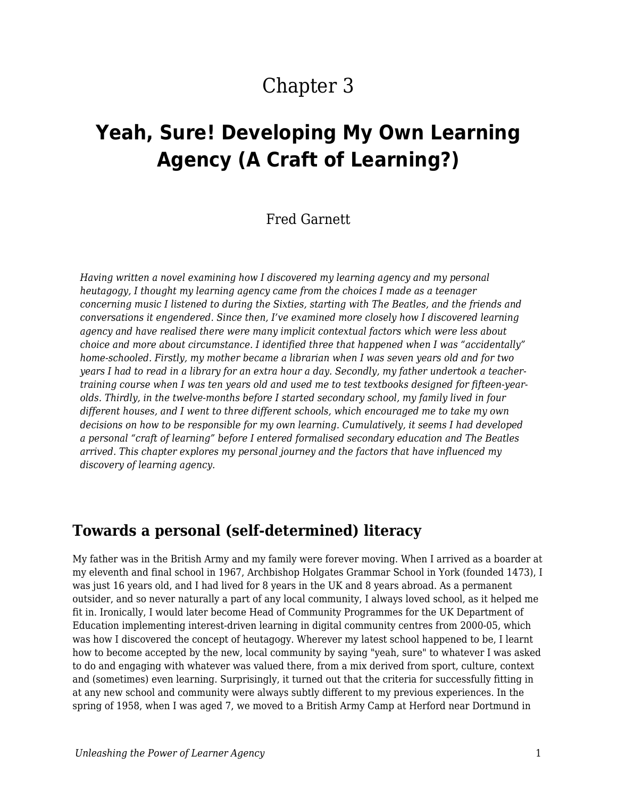# Chapter 3

# **Yeah, Sure! Developing My Own Learning Agency (A Craft of Learning?)**

#### Fred Garnett

*Having written a novel examining how I discovered my learning agency and my personal heutagogy, I thought my learning agency came from the choices I made as a teenager concerning music I listened to during the Sixties, starting with The Beatles, and the friends and conversations it engendered. Since then, I've examined more closely how I discovered learning agency and have realised there were many implicit contextual factors which were less about choice and more about circumstance. I identified three that happened when I was "accidentally" home-schooled. Firstly, my mother became a librarian when I was seven years old and for two years I had to read in a library for an extra hour a day. Secondly, my father undertook a teachertraining course when I was ten years old and used me to test textbooks designed for fifteen-yearolds. Thirdly, in the twelve-months before I started secondary school, my family lived in four different houses, and I went to three different schools, which encouraged me to take my own decisions on how to be responsible for my own learning. Cumulatively, it seems I had developed a personal "craft of learning" before I entered formalised secondary education and The Beatles arrived. This chapter explores my personal journey and the factors that have influenced my discovery of learning agency.*

#### **Towards a personal (self-determined) literacy**

My father was in the British Army and my family were forever moving. When I arrived as a boarder at my eleventh and final school in 1967, Archbishop Holgates Grammar School in York (founded 1473), I was just 16 years old, and I had lived for 8 years in the UK and 8 years abroad. As a permanent outsider, and so never naturally a part of any local community, I always loved school, as it helped me fit in. Ironically, I would later become Head of Community Programmes for the UK Department of Education implementing interest-driven learning in digital community centres from 2000-05, which was how I discovered the concept of heutagogy. Wherever my latest school happened to be, I learnt how to become accepted by the new, local community by saying "yeah, sure" to whatever I was asked to do and engaging with whatever was valued there, from a mix derived from sport, culture, context and (sometimes) even learning. Surprisingly, it turned out that the criteria for successfully fitting in at any new school and community were always subtly different to my previous experiences. In the spring of 1958, when I was aged 7, we moved to a British Army Camp at Herford near Dortmund in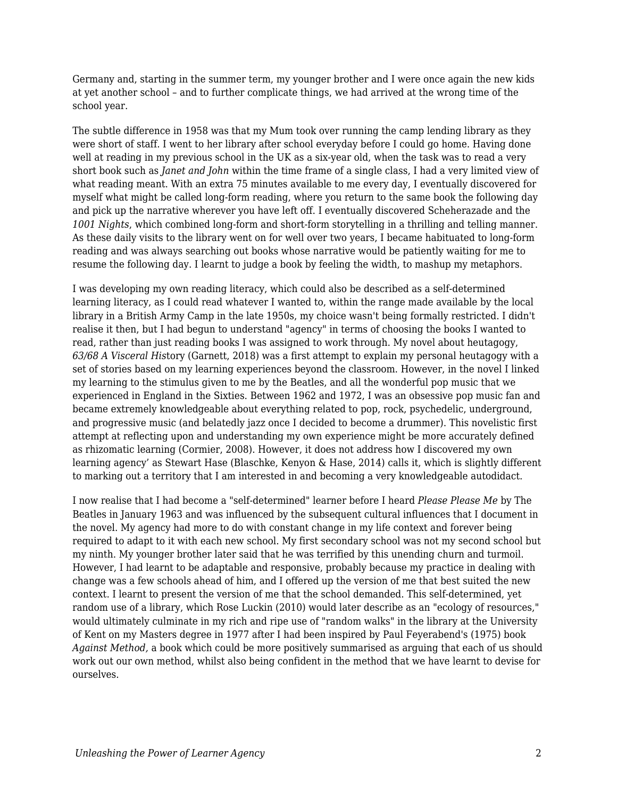Germany and, starting in the summer term, my younger brother and I were once again the new kids at yet another school – and to further complicate things, we had arrived at the wrong time of the school year.

The subtle difference in 1958 was that my Mum took over running the camp lending library as they were short of staff. I went to her library after school everyday before I could go home. Having done well at reading in my previous school in the UK as a six-year old, when the task was to read a very short book such as *Janet and John* within the time frame of a single class, I had a very limited view of what reading meant. With an extra 75 minutes available to me every day, I eventually discovered for myself what might be called long-form reading, where you return to the same book the following day and pick up the narrative wherever you have left off. I eventually discovered Scheherazade and the *1001 Nights*, which combined long-form and short-form storytelling in a thrilling and telling manner. As these daily visits to the library went on for well over two years, I became habituated to long-form reading and was always searching out books whose narrative would be patiently waiting for me to resume the following day. I learnt to judge a book by feeling the width, to mashup my metaphors.

I was developing my own reading literacy, which could also be described as a self-determined learning literacy, as I could read whatever I wanted to, within the range made available by the local library in a British Army Camp in the late 1950s, my choice wasn't being formally restricted. I didn't realise it then, but I had begun to understand "agency" in terms of choosing the books I wanted to read, rather than just reading books I was assigned to work through. My novel about heutagogy, *63/68 A Visceral His*tory (Garnett, 2018) was a first attempt to explain my personal heutagogy with a set of stories based on my learning experiences beyond the classroom. However, in the novel I linked my learning to the stimulus given to me by the Beatles, and all the wonderful pop music that we experienced in England in the Sixties. Between 1962 and 1972, I was an obsessive pop music fan and became extremely knowledgeable about everything related to pop, rock, psychedelic, underground, and progressive music (and belatedly jazz once I decided to become a drummer). This novelistic first attempt at reflecting upon and understanding my own experience might be more accurately defined as rhizomatic learning (Cormier, 2008). However, it does not address how I discovered my own learning agency' as Stewart Hase (Blaschke, Kenyon & Hase, 2014) calls it, which is slightly different to marking out a territory that I am interested in and becoming a very knowledgeable autodidact.

I now realise that I had become a "self-determined" learner before I heard *Please Please Me* by The Beatles in January 1963 and was influenced by the subsequent cultural influences that I document in the novel. My agency had more to do with constant change in my life context and forever being required to adapt to it with each new school. My first secondary school was not my second school but my ninth. My younger brother later said that he was terrified by this unending churn and turmoil. However, I had learnt to be adaptable and responsive, probably because my practice in dealing with change was a few schools ahead of him, and I offered up the version of me that best suited the new context. I learnt to present the version of me that the school demanded. This self-determined, yet random use of a library, which Rose Luckin (2010) would later describe as an "ecology of resources," would ultimately culminate in my rich and ripe use of "random walks" in the library at the University of Kent on my Masters degree in 1977 after I had been inspired by Paul Feyerabend's (1975) book *Against Method,* a book which could be more positively summarised as arguing that each of us should work out our own method, whilst also being confident in the method that we have learnt to devise for ourselves.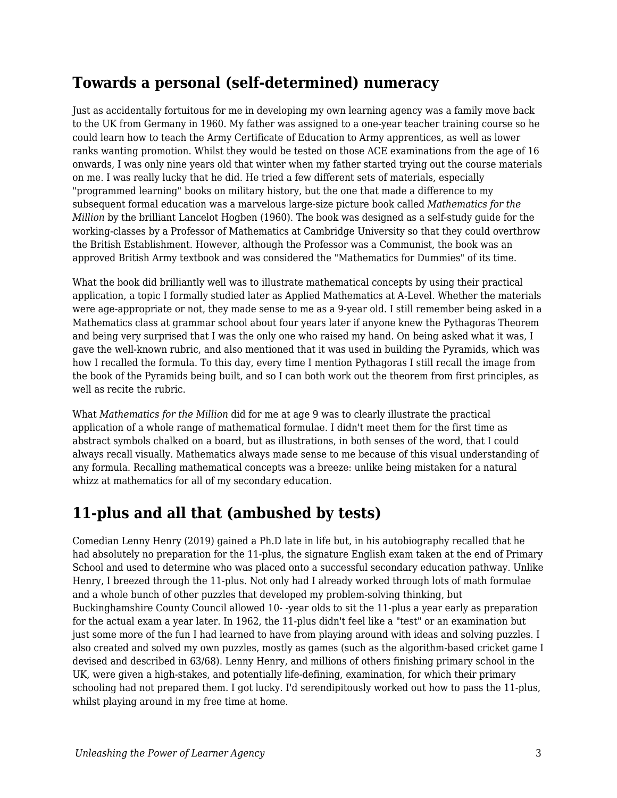#### **Towards a personal (self-determined) numeracy**

Just as accidentally fortuitous for me in developing my own learning agency was a family move back to the UK from Germany in 1960. My father was assigned to a one-year teacher training course so he could learn how to teach the Army Certificate of Education to Army apprentices, as well as lower ranks wanting promotion. Whilst they would be tested on those ACE examinations from the age of 16 onwards, I was only nine years old that winter when my father started trying out the course materials on me. I was really lucky that he did. He tried a few different sets of materials, especially "programmed learning" books on military history, but the one that made a difference to my subsequent formal education was a marvelous large-size picture book called *Mathematics for the Million* by the brilliant Lancelot Hogben (1960). The book was designed as a self-study guide for the working-classes by a Professor of Mathematics at Cambridge University so that they could overthrow the British Establishment. However, although the Professor was a Communist, the book was an approved British Army textbook and was considered the "Mathematics for Dummies" of its time.

What the book did brilliantly well was to illustrate mathematical concepts by using their practical application, a topic I formally studied later as Applied Mathematics at A-Level. Whether the materials were age-appropriate or not, they made sense to me as a 9-year old. I still remember being asked in a Mathematics class at grammar school about four years later if anyone knew the Pythagoras Theorem and being very surprised that I was the only one who raised my hand. On being asked what it was, I gave the well-known rubric, and also mentioned that it was used in building the Pyramids, which was how I recalled the formula. To this day, every time I mention Pythagoras I still recall the image from the book of the Pyramids being built, and so I can both work out the theorem from first principles, as well as recite the rubric.

What *Mathematics for the Million* did for me at age 9 was to clearly illustrate the practical application of a whole range of mathematical formulae. I didn't meet them for the first time as abstract symbols chalked on a board, but as illustrations, in both senses of the word, that I could always recall visually. Mathematics always made sense to me because of this visual understanding of any formula. Recalling mathematical concepts was a breeze: unlike being mistaken for a natural whizz at mathematics for all of my secondary education.

## **11-plus and all that (ambushed by tests)**

Comedian Lenny Henry (2019) gained a Ph.D late in life but, in his autobiography recalled that he had absolutely no preparation for the 11-plus, the signature English exam taken at the end of Primary School and used to determine who was placed onto a successful secondary education pathway. Unlike Henry, I breezed through the 11-plus. Not only had I already worked through lots of math formulae and a whole bunch of other puzzles that developed my problem-solving thinking, but Buckinghamshire County Council allowed 10- -year olds to sit the 11-plus a year early as preparation for the actual exam a year later. In 1962, the 11-plus didn't feel like a "test" or an examination but just some more of the fun I had learned to have from playing around with ideas and solving puzzles. I also created and solved my own puzzles, mostly as games (such as the algorithm-based cricket game I devised and described in 63/68). Lenny Henry, and millions of others finishing primary school in the UK, were given a high-stakes, and potentially life-defining, examination, for which their primary schooling had not prepared them. I got lucky. I'd serendipitously worked out how to pass the 11-plus, whilst playing around in my free time at home.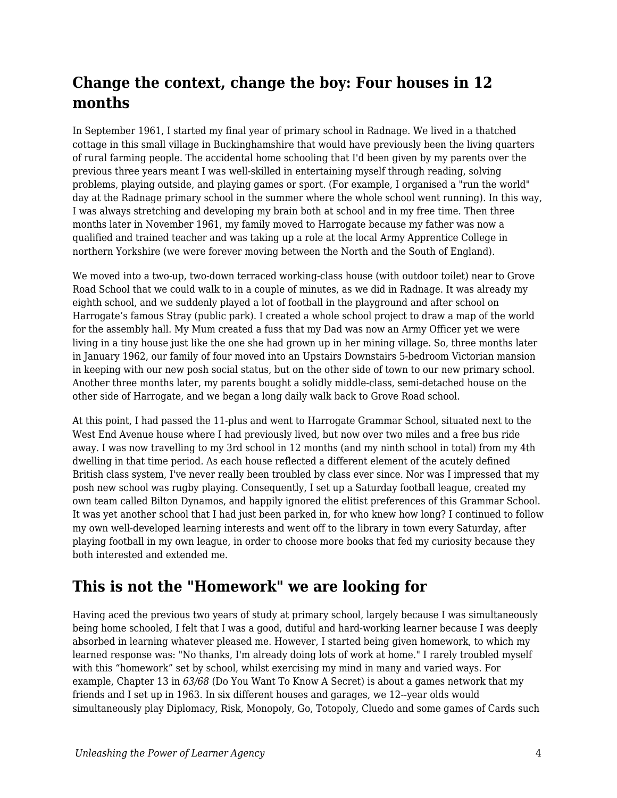## **Change the context, change the boy: Four houses in 12 months**

In September 1961, I started my final year of primary school in Radnage. We lived in a thatched cottage in this small village in Buckinghamshire that would have previously been the living quarters of rural farming people. The accidental home schooling that I'd been given by my parents over the previous three years meant I was well-skilled in entertaining myself through reading, solving problems, playing outside, and playing games or sport. (For example, I organised a "run the world" day at the Radnage primary school in the summer where the whole school went running). In this way, I was always stretching and developing my brain both at school and in my free time. Then three months later in November 1961, my family moved to Harrogate because my father was now a qualified and trained teacher and was taking up a role at the local Army Apprentice College in northern Yorkshire (we were forever moving between the North and the South of England).

We moved into a two-up, two-down terraced working-class house (with outdoor toilet) near to Grove Road School that we could walk to in a couple of minutes, as we did in Radnage. It was already my eighth school, and we suddenly played a lot of football in the playground and after school on Harrogate's famous Stray (public park). I created a whole school project to draw a map of the world for the assembly hall. My Mum created a fuss that my Dad was now an Army Officer yet we were living in a tiny house just like the one she had grown up in her mining village. So, three months later in January 1962, our family of four moved into an Upstairs Downstairs 5-bedroom Victorian mansion in keeping with our new posh social status, but on the other side of town to our new primary school. Another three months later, my parents bought a solidly middle-class, semi-detached house on the other side of Harrogate, and we began a long daily walk back to Grove Road school.

At this point, I had passed the 11-plus and went to Harrogate Grammar School, situated next to the West End Avenue house where I had previously lived, but now over two miles and a free bus ride away. I was now travelling to my 3rd school in 12 months (and my ninth school in total) from my 4th dwelling in that time period. As each house reflected a different element of the acutely defined British class system, I've never really been troubled by class ever since. Nor was I impressed that my posh new school was rugby playing. Consequently, I set up a Saturday football league, created my own team called Bilton Dynamos, and happily ignored the elitist preferences of this Grammar School. It was yet another school that I had just been parked in, for who knew how long? I continued to follow my own well-developed learning interests and went off to the library in town every Saturday, after playing football in my own league, in order to choose more books that fed my curiosity because they both interested and extended me.

## **This is not the "Homework" we are looking for**

Having aced the previous two years of study at primary school, largely because I was simultaneously being home schooled, I felt that I was a good, dutiful and hard-working learner because I was deeply absorbed in learning whatever pleased me. However, I started being given homework, to which my learned response was: "No thanks, I'm already doing lots of work at home." I rarely troubled myself with this "homework" set by school, whilst exercising my mind in many and varied ways. For example, Chapter 13 in *63/68* (Do You Want To Know A Secret) is about a games network that my friends and I set up in 1963. In six different houses and garages, we 12--year olds would simultaneously play Diplomacy, Risk, Monopoly, Go, Totopoly, Cluedo and some games of Cards such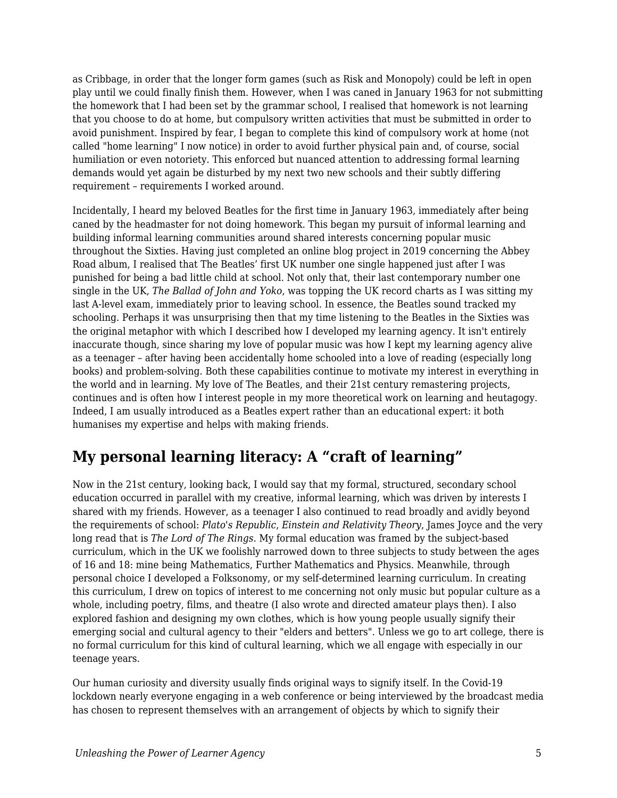as Cribbage, in order that the longer form games (such as Risk and Monopoly) could be left in open play until we could finally finish them. However, when I was caned in January 1963 for not submitting the homework that I had been set by the grammar school, I realised that homework is not learning that you choose to do at home, but compulsory written activities that must be submitted in order to avoid punishment. Inspired by fear, I began to complete this kind of compulsory work at home (not called "home learning" I now notice) in order to avoid further physical pain and, of course, social humiliation or even notoriety. This enforced but nuanced attention to addressing formal learning demands would yet again be disturbed by my next two new schools and their subtly differing requirement – requirements I worked around.

Incidentally, I heard my beloved Beatles for the first time in January 1963, immediately after being caned by the headmaster for not doing homework. This began my pursuit of informal learning and building informal learning communities around shared interests concerning popular music throughout the Sixties. Having just completed an online blog project in 2019 concerning the Abbey Road album, I realised that The Beatles' first UK number one single happened just after I was punished for being a bad little child at school. Not only that, their last contemporary number one single in the UK, *The Ballad of John and Yoko*, was topping the UK record charts as I was sitting my last A-level exam, immediately prior to leaving school. In essence, the Beatles sound tracked my schooling. Perhaps it was unsurprising then that my time listening to the Beatles in the Sixties was the original metaphor with which I described how I developed my learning agency. It isn't entirely inaccurate though, since sharing my love of popular music was how I kept my learning agency alive as a teenager – after having been accidentally home schooled into a love of reading (especially long books) and problem-solving. Both these capabilities continue to motivate my interest in everything in the world and in learning. My love of The Beatles, and their 21st century remastering projects, continues and is often how I interest people in my more theoretical work on learning and heutagogy. Indeed, I am usually introduced as a Beatles expert rather than an educational expert: it both humanises my expertise and helps with making friends.

## **My personal learning literacy: A "craft of learning"**

Now in the 21st century, looking back, I would say that my formal, structured, secondary school education occurred in parallel with my creative, informal learning, which was driven by interests I shared with my friends. However, as a teenager I also continued to read broadly and avidly beyond the requirements of school: *Plato's Republic*, *Einstein and Relativity Theory*, James Joyce and the very long read that is *The Lord of The Rings*. My formal education was framed by the subject-based curriculum, which in the UK we foolishly narrowed down to three subjects to study between the ages of 16 and 18: mine being Mathematics, Further Mathematics and Physics. Meanwhile, through personal choice I developed a Folksonomy, or my self-determined learning curriculum. In creating this curriculum, I drew on topics of interest to me concerning not only music but popular culture as a whole, including poetry, films, and theatre (I also wrote and directed amateur plays then). I also explored fashion and designing my own clothes, which is how young people usually signify their emerging social and cultural agency to their "elders and betters". Unless we go to art college, there is no formal curriculum for this kind of cultural learning, which we all engage with especially in our teenage years.

Our human curiosity and diversity usually finds original ways to signify itself. In the Covid-19 lockdown nearly everyone engaging in a web conference or being interviewed by the broadcast media has chosen to represent themselves with an arrangement of objects by which to signify their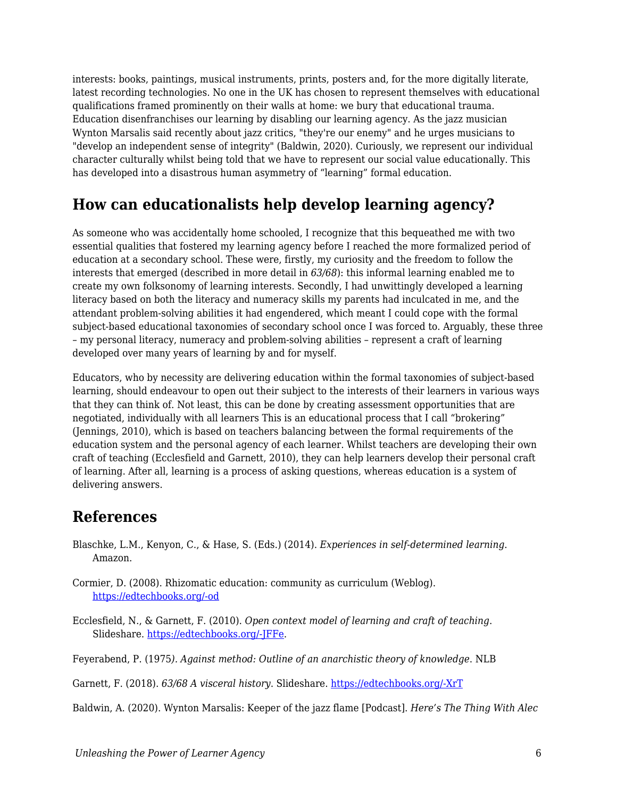interests: books, paintings, musical instruments, prints, posters and, for the more digitally literate, latest recording technologies. No one in the UK has chosen to represent themselves with educational qualifications framed prominently on their walls at home: we bury that educational trauma. Education disenfranchises our learning by disabling our learning agency. As the jazz musician Wynton Marsalis said recently about jazz critics, "they're our enemy" and he urges musicians to "develop an independent sense of integrity" (Baldwin, 2020). Curiously, we represent our individual character culturally whilst being told that we have to represent our social value educationally. This has developed into a disastrous human asymmetry of "learning" formal education.

#### **How can educationalists help develop learning agency?**

As someone who was accidentally home schooled, I recognize that this bequeathed me with two essential qualities that fostered my learning agency before I reached the more formalized period of education at a secondary school. These were, firstly, my curiosity and the freedom to follow the interests that emerged (described in more detail in *63/68*): this informal learning enabled me to create my own folksonomy of learning interests. Secondly, I had unwittingly developed a learning literacy based on both the literacy and numeracy skills my parents had inculcated in me, and the attendant problem-solving abilities it had engendered, which meant I could cope with the formal subject-based educational taxonomies of secondary school once I was forced to. Arguably, these three – my personal literacy, numeracy and problem-solving abilities – represent a craft of learning developed over many years of learning by and for myself.

Educators, who by necessity are delivering education within the formal taxonomies of subject-based learning, should endeavour to open out their subject to the interests of their learners in various ways that they can think of. Not least, this can be done by creating assessment opportunities that are negotiated, individually with all learners This is an educational process that I call "brokering" (Jennings, 2010), which is based on teachers balancing between the formal requirements of the education system and the personal agency of each learner. Whilst teachers are developing their own craft of teaching (Ecclesfield and Garnett, 2010), they can help learners develop their personal craft of learning. After all, learning is a process of asking questions, whereas education is a system of delivering answers.

#### **References**

Blaschke, L.M., Kenyon, C., & Hase, S. (Eds.) (2014). *Experiences in self-determined learning*. Amazon.

Cormier, D. (2008). Rhizomatic education: community as curriculum (Weblog). [https://edtechbooks.org/-od](http://davecormier.com/edblog/2008/06/03/rhizomatic-education-community-as-curriculum/)

Ecclesfield, N., & Garnett, F. (2010). *Open context model of learning and craft of teaching*. Slideshare. [https://edtechbooks.org/-JFFe.](https://www.slideshare.net/fredgarnett/nefg-opencontextmodelcraftteachingoutlinev4)

Feyerabend, P. (1975*). Against method: Outline of an anarchistic theory of knowledge*. NLB

Garnett, F. (2018). *63/68 A visceral history*. Slideshare. [https://edtechbooks.org/-XrT](https://www2.slideshare.net/fredgarnett/6368-a-visceral-history-by-fred-garnett)

Baldwin, A. (2020). Wynton Marsalis: Keeper of the jazz flame [Podcast]. *Here's The Thing With Alec*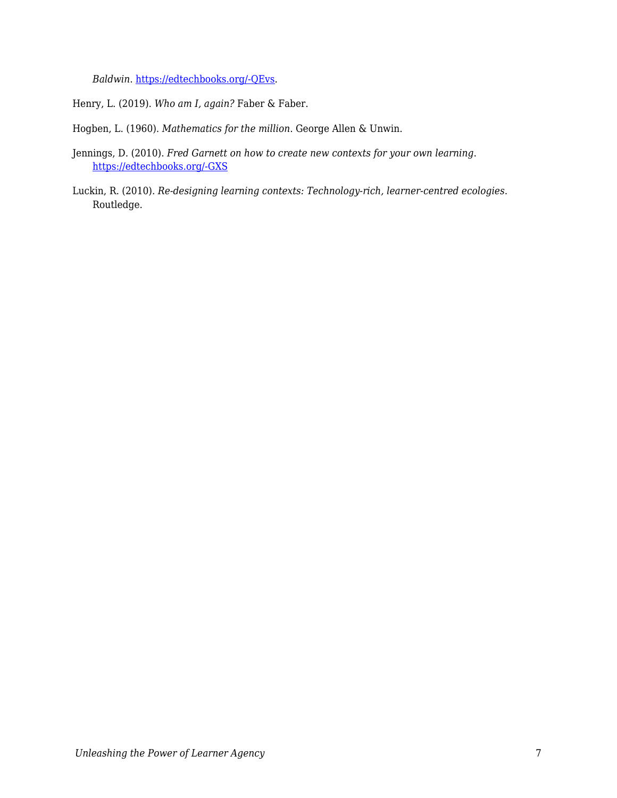*Baldwin*. [https://edtechbooks.org/-QEvs.](https://www.wnycstudios.org/podcasts/heresthething/episodes/wynton-marsalis-keeper-jazz-flame)

Henry, L. (2019). *Who am I, again?* Faber & Faber.

Hogben, L. (1960). *Mathematics for the million*. George Allen & Unwin.

- Jennings, D. (2010). *Fred Garnett on how to create new contexts for your own learning*. [https://edtechbooks.org/-GXS](http://alchemi.co.uk/archives/ele/fred_garnett_on.html/)
- Luckin, R. (2010). *Re-designing learning contexts: Technology-rich, learner-centred ecologies*. Routledge.